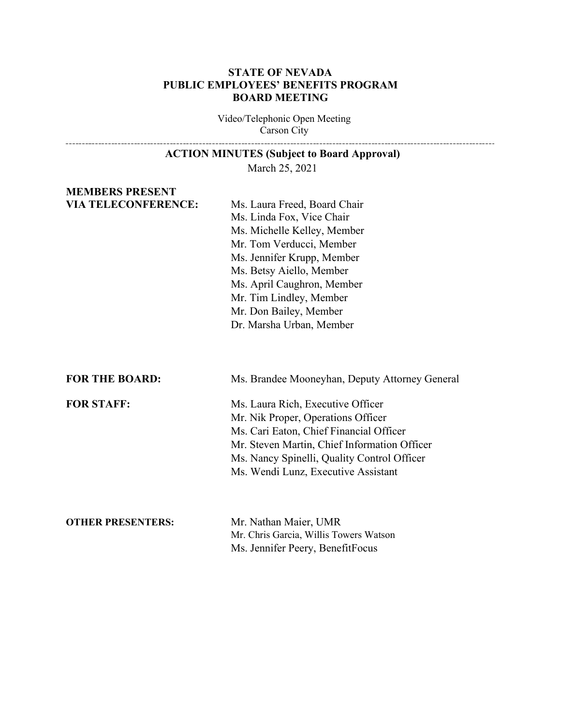#### **STATE OF NEVADA PUBLIC EMPLOYEES' BENEFITS PROGRAM BOARD MEETING**

Video/Telephonic Open Meeting Carson City

# **ACTION MINUTES (Subject to Board Approval)**

March 25, 2021

#### **MEMBERS PRESENT VIA TELECONFERENCE:** Ms. Laura Freed, Board Chair

Ms. Linda Fox, Vice Chair Ms. Michelle Kelley, Member Mr. Tom Verducci, Member Ms. Jennifer Krupp, Member Ms. Betsy Aiello, Member Ms. April Caughron, Member Mr. Tim Lindley, Member Mr. Don Bailey, Member Dr. Marsha Urban, Member

**FOR THE BOARD:** Ms. Brandee Mooneyhan, Deputy Attorney General

------------------------------

**FOR STAFF:** Ms. Laura Rich, Executive Officer Mr. Nik Proper, Operations Officer Ms. Cari Eaton, Chief Financial Officer Mr. Steven Martin, Chief Information Officer Ms. Nancy Spinelli, Quality Control Officer Ms. Wendi Lunz, Executive Assistant

#### **OTHER PRESENTERS:** Mr. Nathan Maier, UMR

Mr. Chris Garcia, Willis Towers Watson Ms. Jennifer Peery, BenefitFocus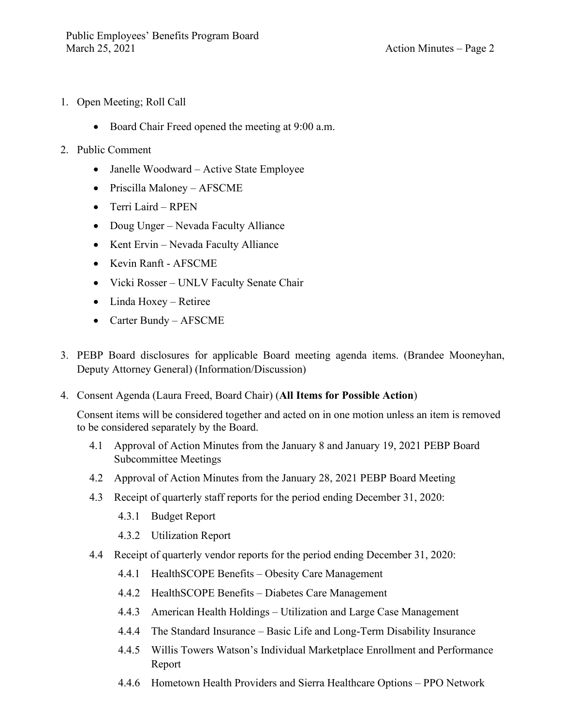- 1. Open Meeting; Roll Call
	- Board Chair Freed opened the meeting at 9:00 a.m.
- 2. Public Comment
	- Janelle Woodward Active State Employee
	- Priscilla Maloney AFSCME
	- Terri Laird RPEN
	- Doug Unger Nevada Faculty Alliance
	- Kent Ervin Nevada Faculty Alliance
	- Kevin Ranft AFSCME
	- Vicki Rosser UNLV Faculty Senate Chair
	- Linda Hoxey Retiree
	- Carter Bundy AFSCME
- 3. PEBP Board disclosures for applicable Board meeting agenda items. (Brandee Mooneyhan, Deputy Attorney General) (Information/Discussion)
- 4. Consent Agenda (Laura Freed, Board Chair) (**All Items for Possible Action**)

Consent items will be considered together and acted on in one motion unless an item is removed to be considered separately by the Board.

- 4.1 Approval of Action Minutes from the January 8 and January 19, 2021 PEBP Board Subcommittee Meetings
- 4.2 Approval of Action Minutes from the January 28, 2021 PEBP Board Meeting
- 4.3 Receipt of quarterly staff reports for the period ending December 31, 2020:
	- 4.3.1 Budget Report
	- 4.3.2 Utilization Report
- 4.4 Receipt of quarterly vendor reports for the period ending December 31, 2020:
	- 4.4.1 HealthSCOPE Benefits Obesity Care Management
	- 4.4.2 HealthSCOPE Benefits Diabetes Care Management
	- 4.4.3 American Health Holdings Utilization and Large Case Management
	- 4.4.4 The Standard Insurance Basic Life and Long-Term Disability Insurance
	- 4.4.5 Willis Towers Watson's Individual Marketplace Enrollment and Performance Report
	- 4.4.6 Hometown Health Providers and Sierra Healthcare Options PPO Network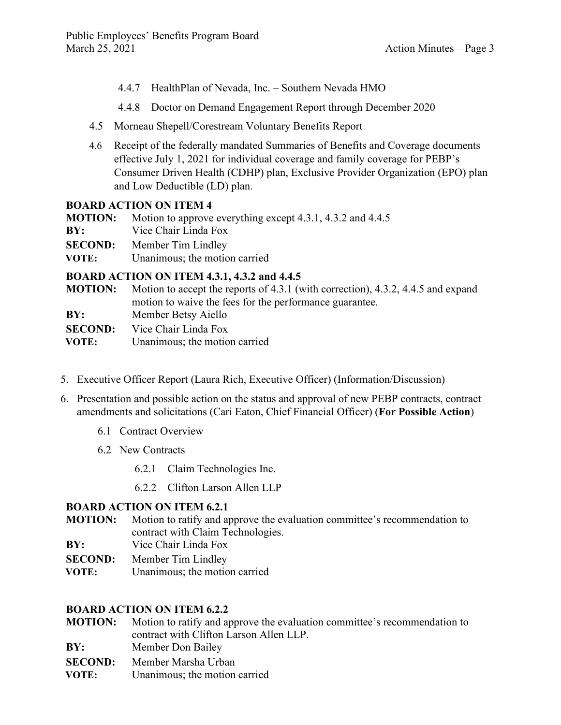- 4.4.7 HealthPlan of Nevada, Inc. Southern Nevada HMO
- 4.4.8 Doctor on Demand Engagement Report through December 2020
- 4.5 Morneau Shepell/Corestream Voluntary Benefits Report
- 4.6 Receipt of the federally mandated Summaries of Benefits and Coverage documents effective July 1, 2021 for individual coverage and family coverage for PEBP's Consumer Driven Health (CDHP) plan, Exclusive Provider Organization (EPO) plan and Low Deductible (LD) plan.

#### **BOARD ACTION ON ITEM 4**

| <b>MOTION:</b> | Motion to approve everything except 4.3.1, 4.3.2 and 4.4.5         |
|----------------|--------------------------------------------------------------------|
| BY:            | Vice Chair Linda Fox                                               |
| VOTE:          | <b>SECOND:</b> Member Tim Lindley<br>Unanimous; the motion carried |
|                |                                                                    |

#### **BOARD ACTION ON ITEM 4.3.1, 4.3.2 and 4.4.5**

| <b>MOTION:</b> | Motion to accept the reports of 4.3.1 (with correction), 4.3.2, 4.4.5 and expand |
|----------------|----------------------------------------------------------------------------------|
|                | motion to waive the fees for the performance guarantee.                          |
| BY:            | Member Betsy Aiello                                                              |
| <b>SECOND:</b> | Vice Chair Linda Fox                                                             |
| VOTE:          | Unanimous; the motion carried                                                    |

- 5. Executive Officer Report (Laura Rich, Executive Officer) (Information/Discussion)
- 6. Presentation and possible action on the status and approval of new PEBP contracts, contract amendments and solicitations (Cari Eaton, Chief Financial Officer) (**For Possible Action**)
	- 6.1 Contract Overview
	- 6.2 New Contracts
		- 6.2.1 Claim Technologies Inc.
		- 6.2.2 Clifton Larson Allen LLP

#### **BOARD ACTION ON ITEM 6.2.1**

- **MOTION:** Motion to ratify and approve the evaluation committee's recommendation to contract with Claim Technologies.
- **BY:** Vice Chair Linda Fox
- **SECOND:** Member Tim Lindley
- **VOTE:** Unanimous; the motion carried

#### **BOARD ACTION ON ITEM 6.2.2**

- **MOTION:** Motion to ratify and approve the evaluation committee's recommendation to contract with Clifton Larson Allen LLP.
- **BY:** Member Don Bailey
- **SECOND:** Member Marsha Urban
- **VOTE:** Unanimous; the motion carried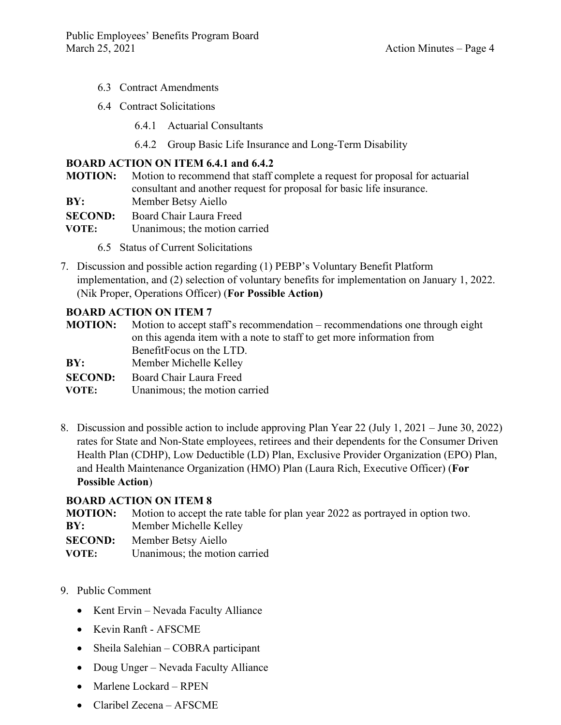- 6.3 Contract Amendments
- 6.4 Contract Solicitations
	- 6.4.1 Actuarial Consultants
	- 6.4.2 Group Basic Life Insurance and Long-Term Disability

### **BOARD ACTION ON ITEM 6.4.1 and 6.4.2**

- **MOTION:** Motion to recommend that staff complete a request for proposal for actuarial consultant and another request for proposal for basic life insurance.
- **BY:** Member Betsy Aiello
- **SECOND:** Board Chair Laura Freed
- **VOTE:** Unanimous; the motion carried
	- 6.5 Status of Current Solicitations
- 7. Discussion and possible action regarding (1) PEBP's Voluntary Benefit Platform implementation, and (2) selection of voluntary benefits for implementation on January 1, 2022. (Nik Proper, Operations Officer) (**For Possible Action)**

#### **BOARD ACTION ON ITEM 7**

| <b>MOTION:</b> | Motion to accept staff's recommendation – recommendations one through eight |
|----------------|-----------------------------------------------------------------------------|
|                | on this agenda item with a note to staff to get more information from       |
|                | BenefitFocus on the LTD.                                                    |
| BY:            | Member Michelle Kelley                                                      |
| <b>SECOND:</b> | Board Chair Laura Freed                                                     |
| VOTE:          | Unanimous; the motion carried                                               |
|                |                                                                             |

8. Discussion and possible action to include approving Plan Year 22 (July 1, 2021 – June 30, 2022) rates for State and Non-State employees, retirees and their dependents for the Consumer Driven Health Plan (CDHP), Low Deductible (LD) Plan, Exclusive Provider Organization (EPO) Plan, and Health Maintenance Organization (HMO) Plan (Laura Rich, Executive Officer) (**For Possible Action**)

#### **BOARD ACTION ON ITEM 8**

|     | <b>MOTION:</b> Motion to accept the rate table for plan year 2022 as portrayed in option two. |
|-----|-----------------------------------------------------------------------------------------------|
| BY: | Member Michelle Kelley                                                                        |
|     | <b>SECOND:</b> Member Betsy Aiello                                                            |

- **VOTE:** Unanimous; the motion carried
- 9. Public Comment
	- Kent Ervin Nevada Faculty Alliance
	- Kevin Ranft AFSCME
	- Sheila Salehian COBRA participant
	- Doug Unger Nevada Faculty Alliance
	- Marlene Lockard RPEN
	- Claribel Zecena AFSCME